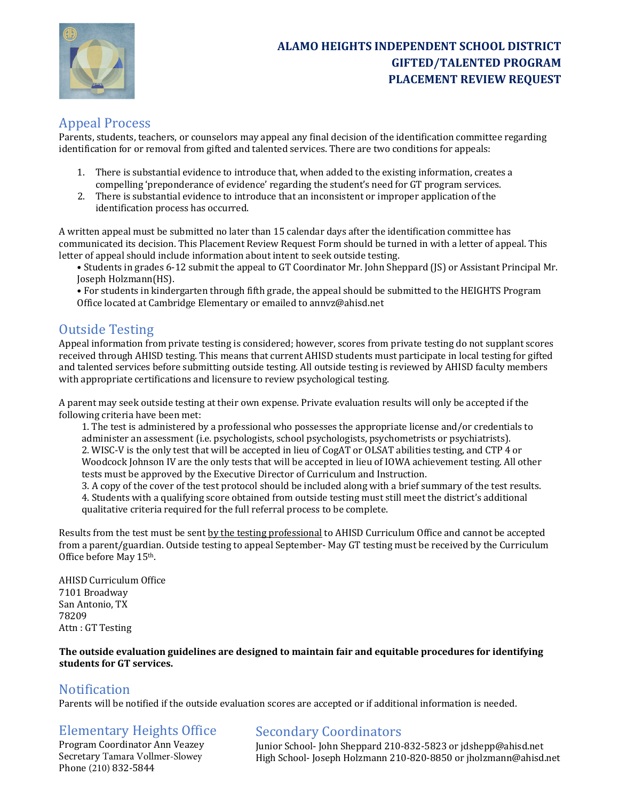

#### Appeal Process

Parents, students, teachers, or counselors may appeal any final decision of the identification committee regarding identification for or removal from gifted and talented services. There are two conditions for appeals:

- 1. There is substantial evidence to introduce that, when added to the existing information, creates a compelling 'preponderance of evidence' regarding the student's need for GT program services.
- 2. There is substantial evidence to introduce that an inconsistent or improper application of the identification process has occurred.

A written appeal must be submitted no later than 15 calendar days after the identification committee has communicated its decision. This Placement Review Request Form should be turned in with a letter of appeal. This letter of appeal should include information about intent to seek outside testing.

- Students in grades 6-12 submit the appeal to GT Coordinator Mr. John Sheppard (JS) or Assistant Principal Mr. Joseph Holzmann(HS).
- For students in kindergarten through fifth grade, the appeal should be submitted to the HEIGHTS Program Office located at Cambridge Elementary or emailed to annyz@ahisd.net

# **Outside Testing**

Appeal information from private testing is considered; however, scores from private testing do not supplant scores received through AHISD testing. This means that current AHISD students must participate in local testing for gifted and talented services before submitting outside testing. All outside testing is reviewed by AHISD faculty members with appropriate certifications and licensure to review psychological testing.

A parent may seek outside testing at their own expense. Private evaluation results will only be accepted if the following criteria have been met:

1. The test is administered by a professional who possesses the appropriate license and/or credentials to administer an assessment (i.e. psychologists, school psychologists, psychometrists or psychiatrists). 2. WISC-V is the only test that will be accepted in lieu of CogAT or OLSAT abilities testing, and CTP 4 or Woodcock Johnson IV are the only tests that will be accepted in lieu of IOWA achievement testing. All other tests must be approved by the Executive Director of Curriculum and Instruction.

3. A copy of the cover of the test protocol should be included along with a brief summary of the test results. 4. Students with a qualifying score obtained from outside testing must still meet the district's additional qualitative criteria required for the full referral process to be complete.

Results from the test must be sent by the testing professional to AHISD Curriculum Office and cannot be accepted from a parent/guardian. Outside testing to appeal September- May GT testing must be received by the Curriculum Office before May 15<sup>th</sup>.

AHISD Curriculum Office 7101 Broadway San Antonio, TX 78209 Attn: GT Testing

The outside evaluation guidelines are designed to maintain fair and equitable procedures for identifying students for GT services.

#### Notification

Parents will be notified if the outside evaluation scores are accepted or if additional information is needed.

## Elementary Heights Office

Program Coordinator Ann Veazey Secretary Tamara Vollmer-Slowey Phone (210) 832-5844

#### **Secondary Coordinators**

Junior School- John Sheppard 210-832-5823 or jdshepp@ahisd.net High School- Joseph Holzmann 210-820-8850 or jholzmann@ahisd.net